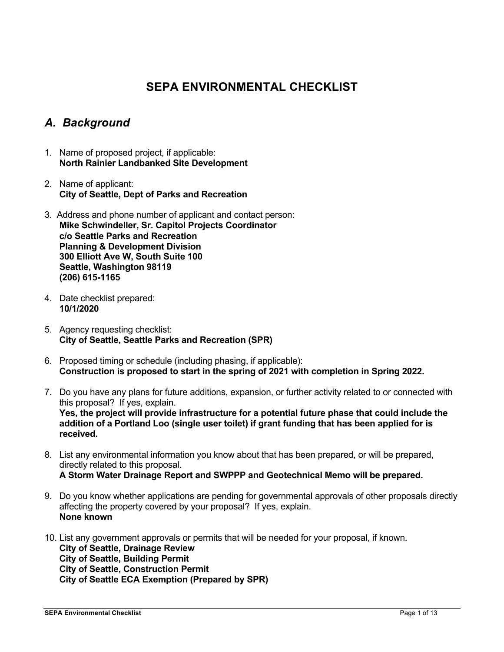# **SEPA ENVIRONMENTAL CHECKLIST**

## *A. Background*

- 1. Name of proposed project, if applicable: **North Rainier Landbanked Site Development**
- 2. Name of applicant: **City of Seattle, Dept of Parks and Recreation**
- 3. Address and phone number of applicant and contact person: **Mike Schwindeller, Sr. Capitol Projects Coordinator c/o Seattle Parks and Recreation Planning & Development Division 300 Elliott Ave W, South Suite 100 Seattle, Washington 98119 (206) 615-1165**
- 4. Date checklist prepared: **10/1/2020**
- 5. Agency requesting checklist: **City of Seattle, Seattle Parks and Recreation (SPR)**
- 6. Proposed timing or schedule (including phasing, if applicable): **Construction is proposed to start in the spring of 2021 with completion in Spring 2022.**
- 7. Do you have any plans for future additions, expansion, or further activity related to or connected with this proposal? If yes, explain. **Yes, the project will provide infrastructure for a potential future phase that could include the addition of a Portland Loo (single user toilet) if grant funding that has been applied for is received.**
- 8. List any environmental information you know about that has been prepared, or will be prepared, directly related to this proposal. **A Storm Water Drainage Report and SWPPP and Geotechnical Memo will be prepared.**
- 9. Do you know whether applications are pending for governmental approvals of other proposals directly affecting the property covered by your proposal? If yes, explain. **None known**
- 10. List any government approvals or permits that will be needed for your proposal, if known. **City of Seattle, Drainage Review City of Seattle, Building Permit City of Seattle, Construction Permit City of Seattle ECA Exemption (Prepared by SPR)**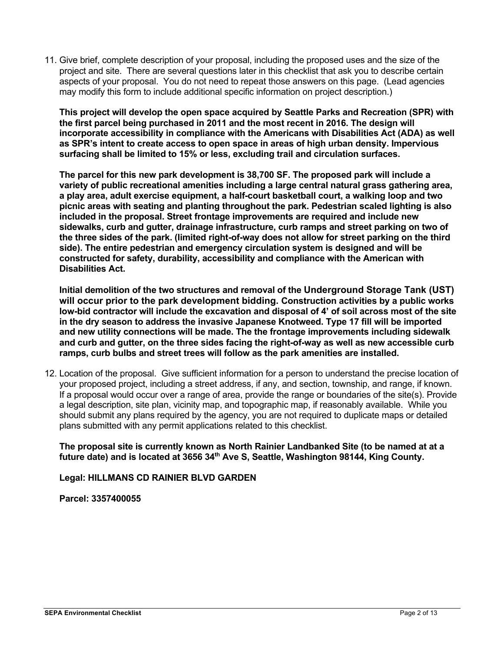11. Give brief, complete description of your proposal, including the proposed uses and the size of the project and site. There are several questions later in this checklist that ask you to describe certain aspects of your proposal. You do not need to repeat those answers on this page. (Lead agencies may modify this form to include additional specific information on project description.)

**This project will develop the open space acquired by Seattle Parks and Recreation (SPR) with the first parcel being purchased in 2011 and the most recent in 2016. The design will incorporate accessibility in compliance with the Americans with Disabilities Act (ADA) as well as SPR's intent to create access to open space in areas of high urban density. Impervious surfacing shall be limited to 15% or less, excluding trail and circulation surfaces.**

**The parcel for this new park development is 38,700 SF. The proposed park will include a variety of public recreational amenities including a large central natural grass gathering area, a play area, adult exercise equipment, a half-court basketball court, a walking loop and two picnic areas with seating and planting throughout the park. Pedestrian scaled lighting is also included in the proposal. Street frontage improvements are required and include new sidewalks, curb and gutter, drainage infrastructure, curb ramps and street parking on two of the three sides of the park. (limited right-of-way does not allow for street parking on the third side). The entire pedestrian and emergency circulation system is designed and will be constructed for safety, durability, accessibility and compliance with the American with Disabilities Act.**

**Initial demolition of the two structures and removal of the Underground Storage Tank (UST) will occur prior to the park development bidding. Construction activities by a public works low-bid contractor will include the excavation and disposal of 4' of soil across most of the site in the dry season to address the invasive Japanese Knotweed. Type 17 fill will be imported and new utility connections will be made. The the frontage improvements including sidewalk and curb and gutter, on the three sides facing the right-of-way as well as new accessible curb ramps, curb bulbs and street trees will follow as the park amenities are installed.** 

12. Location of the proposal. Give sufficient information for a person to understand the precise location of your proposed project, including a street address, if any, and section, township, and range, if known. If a proposal would occur over a range of area, provide the range or boundaries of the site(s). Provide a legal description, site plan, vicinity map, and topographic map, if reasonably available. While you should submit any plans required by the agency, you are not required to duplicate maps or detailed plans submitted with any permit applications related to this checklist.

**The proposal site is currently known as North Rainier Landbanked Site (to be named at at a future date) and is located at 3656 34th Ave S, Seattle, Washington 98144, King County.**

**Legal: HILLMANS CD RAINIER BLVD GARDEN**

**Parcel: 3357400055**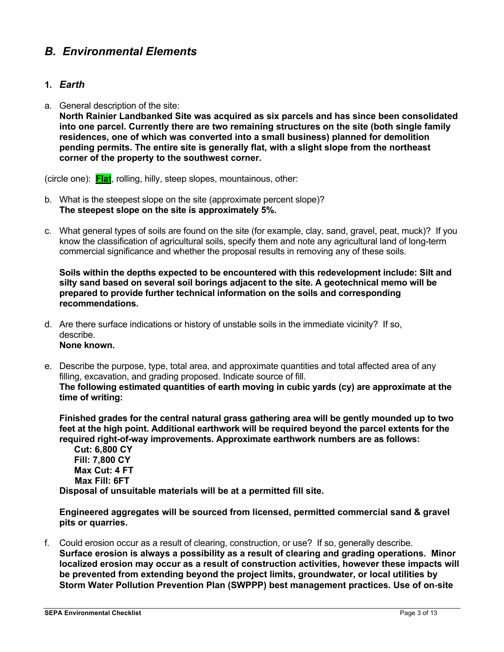## *B. Environmental Elements*

### **1.** *Earth*

a. General description of the site:

**North Rainier Landbanked Site was acquired as six parcels and has since been consolidated into one parcel. Currently there are two remaining structures on the site (both single family residences, one of which was converted into a small business) planned for demolition pending permits. The entire site is generally flat, with a slight slope from the northeast corner of the property to the southwest corner.**

(circle one): **Flat**, rolling, hilly, steep slopes, mountainous, other:

- b. What is the steepest slope on the site (approximate percent slope)? **The steepest slope on the site is approximately 5%.**
- c. What general types of soils are found on the site (for example, clay, sand, gravel, peat, muck)? If you know the classification of agricultural soils, specify them and note any agricultural land of long-term commercial significance and whether the proposal results in removing any of these soils.

**Soils within the depths expected to be encountered with this redevelopment include: Silt and silty sand based on several soil borings adjacent to the site. A geotechnical memo will be prepared to provide further technical information on the soils and corresponding recommendations.**

- d. Are there surface indications or history of unstable soils in the immediate vicinity? If so, describe. **None known.**
- e. Describe the purpose, type, total area, and approximate quantities and total affected area of any filling, excavation, and grading proposed. Indicate source of fill. **The following estimated quantities of earth moving in cubic yards (cy) are approximate at the time of writing:**

**Finished grades for the central natural grass gathering area will be gently mounded up to two feet at the high point. Additional earthwork will be required beyond the parcel extents for the required right-of-way improvements. Approximate earthwork numbers are as follows:**

**Cut: 6,800 CY Fill: 7,800 CY Max Cut: 4 FT Max Fill: 6FT Disposal of unsuitable materials will be at a permitted fill site.**

**Engineered aggregates will be sourced from licensed, permitted commercial sand & gravel pits or quarries.**

f. Could erosion occur as a result of clearing, construction, or use? If so, generally describe. **Surface erosion is always a possibility as a result of clearing and grading operations. Minor localized erosion may occur as a result of construction activities, however these impacts will be prevented from extending beyond the project limits, groundwater, or local utilities by Storm Water Pollution Prevention Plan (SWPPP) best management practices. Use of on**-**site**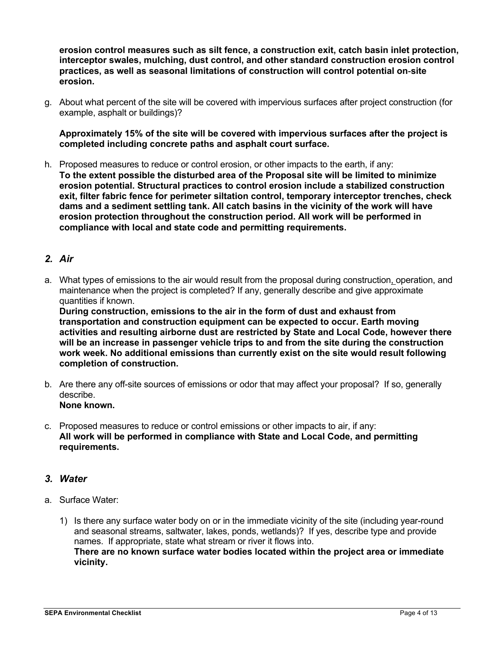**erosion control measures such as silt fence, a construction exit, catch basin inlet protection, interceptor swales, mulching, dust control, and other standard construction erosion control practices, as well as seasonal limitations of construction will control potential on**-**site erosion.**

g. About what percent of the site will be covered with impervious surfaces after project construction (for example, asphalt or buildings)?

**Approximately 15% of the site will be covered with impervious surfaces after the project is completed including concrete paths and asphalt court surface.**

h. Proposed measures to reduce or control erosion, or other impacts to the earth, if any: **To the extent possible the disturbed area of the Proposal site will be limited to minimize erosion potential. Structural practices to control erosion include a stabilized construction exit, filter fabric fence for perimeter siltation control, temporary interceptor trenches, check dams and a sediment settling tank. All catch basins in the vicinity of the work will have erosion protection throughout the construction period. All work will be performed in compliance with local and state code and permitting requirements.**

## *2. Air*

a. What types of emissions to the air would result from the proposal during construction, operation, and maintenance when the project is completed? If any, generally describe and give approximate quantities if known.

**During construction, emissions to the air in the form of dust and exhaust from transportation and construction equipment can be expected to occur. Earth moving activities and resulting airborne dust are restricted by State and Local Code, however there will be an increase in passenger vehicle trips to and from the site during the construction work week. No additional emissions than currently exist on the site would result following completion of construction.**

- b. Are there any off-site sources of emissions or odor that may affect your proposal? If so, generally describe. **None known.**
- c. Proposed measures to reduce or control emissions or other impacts to air, if any: **All work will be performed in compliance with State and Local Code, and permitting requirements.**

#### *3. Water*

- a. Surface Water:
	- 1) Is there any surface water body on or in the immediate vicinity of the site (including year-round and seasonal streams, saltwater, lakes, ponds, wetlands)? If yes, describe type and provide names. If appropriate, state what stream or river it flows into. **There are no known surface water bodies located within the project area or immediate vicinity.**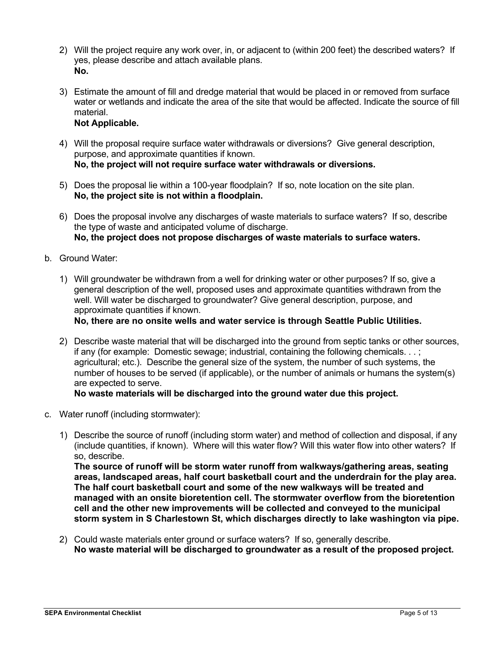- 2) Will the project require any work over, in, or adjacent to (within 200 feet) the described waters? If yes, please describe and attach available plans. **No.**
- 3) Estimate the amount of fill and dredge material that would be placed in or removed from surface water or wetlands and indicate the area of the site that would be affected. Indicate the source of fill material.

## **Not Applicable.**

- 4) Will the proposal require surface water withdrawals or diversions? Give general description, purpose, and approximate quantities if known. **No, the project will not require surface water withdrawals or diversions.**
- 5) Does the proposal lie within a 100-year floodplain? If so, note location on the site plan. **No, the project site is not within a floodplain.**
- 6) Does the proposal involve any discharges of waste materials to surface waters? If so, describe the type of waste and anticipated volume of discharge. **No, the project does not propose discharges of waste materials to surface waters.**
- b. Ground Water:
	- 1) Will groundwater be withdrawn from a well for drinking water or other purposes? If so, give a general description of the well, proposed uses and approximate quantities withdrawn from the well. Will water be discharged to groundwater? Give general description, purpose, and approximate quantities if known.

**No, there are no onsite wells and water service is through Seattle Public Utilities.**

2) Describe waste material that will be discharged into the ground from septic tanks or other sources, if any (for example: Domestic sewage; industrial, containing the following chemicals. . . ; agricultural; etc.). Describe the general size of the system, the number of such systems, the number of houses to be served (if applicable), or the number of animals or humans the system(s) are expected to serve.

## **No waste materials will be discharged into the ground water due this project.**

- c. Water runoff (including stormwater):
	- 1) Describe the source of runoff (including storm water) and method of collection and disposal, if any (include quantities, if known). Where will this water flow? Will this water flow into other waters? If so, describe.

**The source of runoff will be storm water runoff from walkways/gathering areas, seating areas, landscaped areas, half court basketball court and the underdrain for the play area. The half court basketball court and some of the new walkways will be treated and managed with an onsite bioretention cell. The stormwater overflow from the bioretention cell and the other new improvements will be collected and conveyed to the municipal storm system in S Charlestown St, which discharges directly to lake washington via pipe.**

2) Could waste materials enter ground or surface waters? If so, generally describe. **No waste material will be discharged to groundwater as a result of the proposed project.**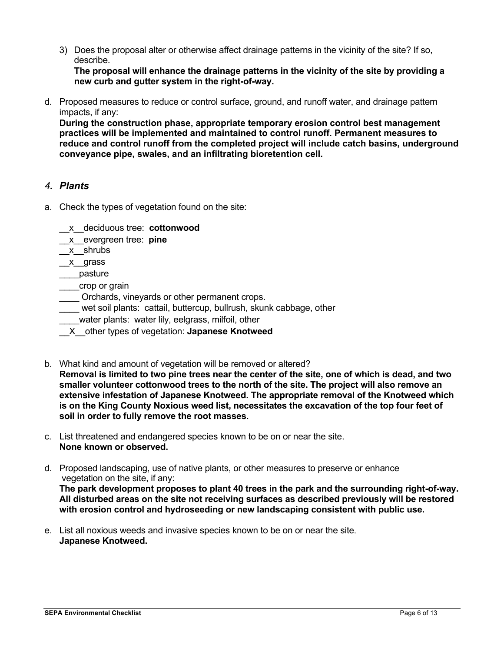3) Does the proposal alter or otherwise affect drainage patterns in the vicinity of the site? If so, describe.

**The proposal will enhance the drainage patterns in the vicinity of the site by providing a new curb and gutter system in the right-of-way.**

d. Proposed measures to reduce or control surface, ground, and runoff water, and drainage pattern impacts, if any:

**During the construction phase, appropriate temporary erosion control best management practices will be implemented and maintained to control runoff. Permanent measures to reduce and control runoff from the completed project will include catch basins, underground conveyance pipe, swales, and an infiltrating bioretention cell.**

## *4. Plants*

- a. Check the types of vegetation found on the site:
	- \_\_x\_\_deciduous tree: **cottonwood**
	- \_\_x\_\_evergreen tree: **pine**
	- \_\_x\_\_shrubs
	- \_\_x\_\_grass
	- \_\_\_\_pasture
	- \_\_\_\_crop or grain
	- Orchards, vineyards or other permanent crops.
	- wet soil plants: cattail, buttercup, bullrush, skunk cabbage, other
	- water plants: water lily, eelgrass, milfoil, other
	- \_\_X\_\_other types of vegetation: **Japanese Knotweed**
- b. What kind and amount of vegetation will be removed or altered?
- **Removal is limited to two pine trees near the center of the site, one of which is dead, and two smaller volunteer cottonwood trees to the north of the site. The project will also remove an extensive infestation of Japanese Knotweed. The appropriate removal of the Knotweed which is on the King County Noxious weed list, necessitates the excavation of the top four feet of soil in order to fully remove the root masses.**
- c. List threatened and endangered species known to be on or near the site. **None known or observed.**
- d. Proposed landscaping, use of native plants, or other measures to preserve or enhance vegetation on the site, if any: **The park development proposes to plant 40 trees in the park and the surrounding right-of-way. All disturbed areas on the site not receiving surfaces as described previously will be restored with erosion control and hydroseeding or new landscaping consistent with public use.**
- e. List all noxious weeds and invasive species known to be on or near the site. **Japanese Knotweed.**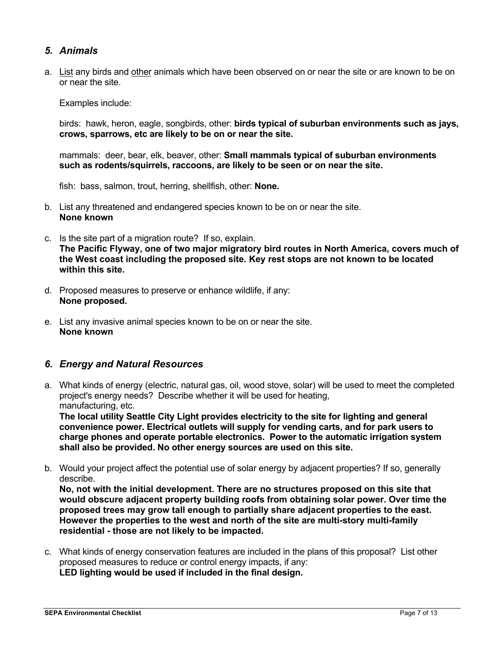## *5. Animals*

a. List any birds and other animals which have been observed on or near the site or are known to be on or near the site.

Examples include:

birds: hawk, heron, eagle, songbirds, other: **birds typical of suburban environments such as jays, crows, sparrows, etc are likely to be on or near the site.** 

mammals: deer, bear, elk, beaver, other: **Small mammals typical of suburban environments such as rodents/squirrels, raccoons, are likely to be seen or on near the site.**

fish: bass, salmon, trout, herring, shellfish, other: **None.**

- b. List any threatened and endangered species known to be on or near the site. **None known**
- c. Is the site part of a migration route? If so, explain. **The Pacific Flyway, one of two major migratory bird routes in North America, covers much of the West coast including the proposed site. Key rest stops are not known to be located within this site.**
- d. Proposed measures to preserve or enhance wildlife, if any: **None proposed.**
- e. List any invasive animal species known to be on or near the site. **None known**

#### *6. Energy and Natural Resources*

a. What kinds of energy (electric, natural gas, oil, wood stove, solar) will be used to meet the completed project's energy needs? Describe whether it will be used for heating, manufacturing, etc.

**The local utility Seattle City Light provides electricity to the site for lighting and general convenience power. Electrical outlets will supply for vending carts, and for park users to charge phones and operate portable electronics. Power to the automatic irrigation system shall also be provided. No other energy sources are used on this site.**

b. Would your project affect the potential use of solar energy by adjacent properties? If so, generally describe.

**No, not with the initial development. There are no structures proposed on this site that would obscure adjacent property building roofs from obtaining solar power. Over time the proposed trees may grow tall enough to partially share adjacent properties to the east. However the properties to the west and north of the site are multi-story multi-family residential - those are not likely to be impacted.**

c. What kinds of energy conservation features are included in the plans of this proposal? List other proposed measures to reduce or control energy impacts, if any: **LED lighting would be used if included in the final design.**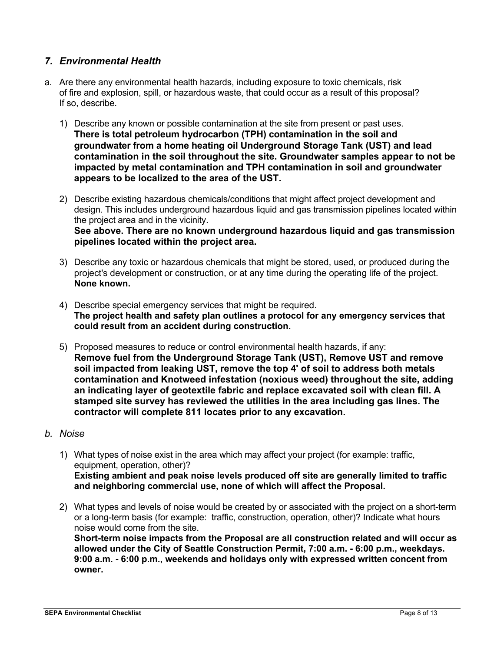## *7. Environmental Health*

- a. Are there any environmental health hazards, including exposure to toxic chemicals, risk of fire and explosion, spill, or hazardous waste, that could occur as a result of this proposal? If so, describe.
	- 1) Describe any known or possible contamination at the site from present or past uses. **There is total petroleum hydrocarbon (TPH) contamination in the soil and groundwater from a home heating oil Underground Storage Tank (UST) and lead contamination in the soil throughout the site. Groundwater samples appear to not be impacted by metal contamination and TPH contamination in soil and groundwater appears to be localized to the area of the UST.**
	- 2) Describe existing hazardous chemicals/conditions that might affect project development and design. This includes underground hazardous liquid and gas transmission pipelines located within the project area and in the vicinity. **See above. There are no known underground hazardous liquid and gas transmission**
	- 3) Describe any toxic or hazardous chemicals that might be stored, used, or produced during the project's development or construction, or at any time during the operating life of the project. **None known.**

**pipelines located within the project area.**

- 4) Describe special emergency services that might be required. **The project health and safety plan outlines a protocol for any emergency services that could result from an accident during construction.**
- 5) Proposed measures to reduce or control environmental health hazards, if any: **Remove fuel from the Underground Storage Tank (UST), Remove UST and remove soil impacted from leaking UST, remove the top 4' of soil to address both metals contamination and Knotweed infestation (noxious weed) throughout the site, adding an indicating layer of geotextile fabric and replace excavated soil with clean fill. A stamped site survey has reviewed the utilities in the area including gas lines. The contractor will complete 811 locates prior to any excavation.**
- *b. Noise*
	- 1) What types of noise exist in the area which may affect your project (for example: traffic, equipment, operation, other)? **Existing ambient and peak noise levels produced off site are generally limited to traffic and neighboring commercial use, none of which will affect the Proposal.**
	- 2) What types and levels of noise would be created by or associated with the project on a short-term or a long-term basis (for example: traffic, construction, operation, other)? Indicate what hours noise would come from the site. **Short-term noise impacts from the Proposal are all construction related and will occur as allowed under the City of Seattle Construction Permit, 7:00 a.m. - 6:00 p.m., weekdays. 9:00 a.m. - 6:00 p.m., weekends and holidays only with expressed written concent from**

**owner.**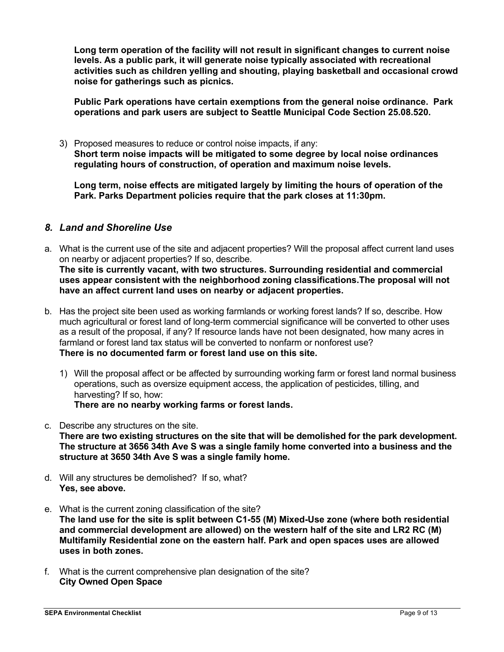**Long term operation of the facility will not result in significant changes to current noise levels. As a public park, it will generate noise typically associated with recreational activities such as children yelling and shouting, playing basketball and occasional crowd noise for gatherings such as picnics.** 

**Public Park operations have certain exemptions from the general noise ordinance. Park operations and park users are subject to Seattle Municipal Code Section 25.08.520.**

3) Proposed measures to reduce or control noise impacts, if any: **Short term noise impacts will be mitigated to some degree by local noise ordinances regulating hours of construction, of operation and maximum noise levels.**

**Long term, noise effects are mitigated largely by limiting the hours of operation of the Park. Parks Department policies require that the park closes at 11:30pm.**

## *8. Land and Shoreline Use*

a. What is the current use of the site and adjacent properties? Will the proposal affect current land uses on nearby or adjacent properties? If so, describe.

**The site is currently vacant, with two structures. Surrounding residential and commercial uses appear consistent with the neighborhood zoning classifications.The proposal will not have an affect current land uses on nearby or adjacent properties.**

- b. Has the project site been used as working farmlands or working forest lands? If so, describe. How much agricultural or forest land of long-term commercial significance will be converted to other uses as a result of the proposal, if any? If resource lands have not been designated, how many acres in farmland or forest land tax status will be converted to nonfarm or nonforest use? **There is no documented farm or forest land use on this site.**
	- 1) Will the proposal affect or be affected by surrounding working farm or forest land normal business operations, such as oversize equipment access, the application of pesticides, tilling, and harvesting? If so, how:

**There are no nearby working farms or forest lands.**

- c. Describe any structures on the site. **There are two existing structures on the site that will be demolished for the park development. The structure at 3656 34th Ave S was a single family home converted into a business and the structure at 3650 34th Ave S was a single family home.**
- d. Will any structures be demolished? If so, what? **Yes, see above.**
- e. What is the current zoning classification of the site? **The land use for the site is split between C1-55 (M) Mixed-Use zone (where both residential and commercial development are allowed) on the western half of the site and LR2 RC (M) Multifamily Residential zone on the eastern half. Park and open spaces uses are allowed uses in both zones.**
- f. What is the current comprehensive plan designation of the site? **City Owned Open Space**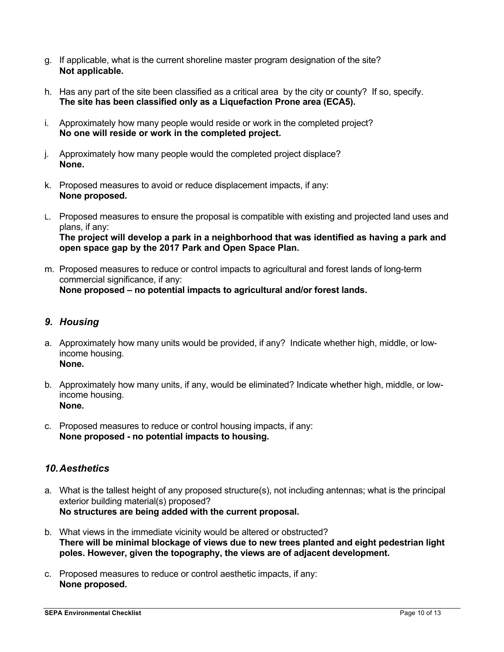- g. If applicable, what is the current shoreline master program designation of the site? **Not applicable.**
- h. Has any part of the site been classified as a critical area by the city or county? If so, specify. **The site has been classified only as a Liquefaction Prone area (ECA5).**
- i. Approximately how many people would reside or work in the completed project? **No one will reside or work in the completed project.**
- j. Approximately how many people would the completed project displace? **None.**
- k. Proposed measures to avoid or reduce displacement impacts, if any: **None proposed.**
- L. Proposed measures to ensure the proposal is compatible with existing and projected land uses and plans, if any: **The project will develop a park in a neighborhood that was identified as having a park and open space gap by the 2017 Park and Open Space Plan.**
- m. Proposed measures to reduce or control impacts to agricultural and forest lands of long-term commercial significance, if any: **None proposed – no potential impacts to agricultural and/or forest lands.**

## *9. Housing*

- a. Approximately how many units would be provided, if any? Indicate whether high, middle, or lowincome housing. **None.**
- b. Approximately how many units, if any, would be eliminated? Indicate whether high, middle, or lowincome housing. **None.**
- c. Proposed measures to reduce or control housing impacts, if any: **None proposed - no potential impacts to housing.**

## *10.Aesthetics*

- a. What is the tallest height of any proposed structure(s), not including antennas; what is the principal exterior building material(s) proposed? **No structures are being added with the current proposal.**
- b. What views in the immediate vicinity would be altered or obstructed? **There will be minimal blockage of views due to new trees planted and eight pedestrian light poles. However, given the topography, the views are of adjacent development.**
- c. Proposed measures to reduce or control aesthetic impacts, if any: **None proposed.**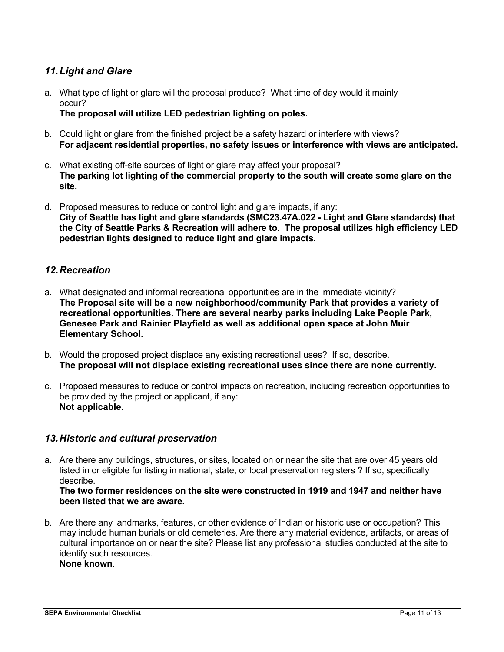## *11.Light and Glare*

a. What type of light or glare will the proposal produce? What time of day would it mainly occur?

**The proposal will utilize LED pedestrian lighting on poles.**

- b. Could light or glare from the finished project be a safety hazard or interfere with views? **For adjacent residential properties, no safety issues or interference with views are anticipated.**
- c. What existing off-site sources of light or glare may affect your proposal? **The parking lot lighting of the commercial property to the south will create some glare on the site.**
- d. Proposed measures to reduce or control light and glare impacts, if any: **City of Seattle has light and glare standards (SMC23.47A.022 - Light and Glare standards) that the City of Seattle Parks & Recreation will adhere to. The proposal utilizes high efficiency LED pedestrian lights designed to reduce light and glare impacts.**

## *12.Recreation*

- a. What designated and informal recreational opportunities are in the immediate vicinity? **The Proposal site will be a new neighborhood/community Park that provides a variety of recreational opportunities. There are several nearby parks including Lake People Park, Genesee Park and Rainier Playfield as well as additional open space at John Muir Elementary School.**
- b. Would the proposed project displace any existing recreational uses? If so, describe. **The proposal will not displace existing recreational uses since there are none currently.**
- c. Proposed measures to reduce or control impacts on recreation, including recreation opportunities to be provided by the project or applicant, if any: **Not applicable.**

## *13.Historic and cultural preservation*

a. Are there any buildings, structures, or sites, located on or near the site that are over 45 years old listed in or eligible for listing in national, state, or local preservation registers ? If so, specifically describe.

**The two former residences on the site were constructed in 1919 and 1947 and neither have been listed that we are aware.**

b. Are there any landmarks, features, or other evidence of Indian or historic use or occupation? This may include human burials or old cemeteries. Are there any material evidence, artifacts, or areas of cultural importance on or near the site? Please list any professional studies conducted at the site to identify such resources. **None known.**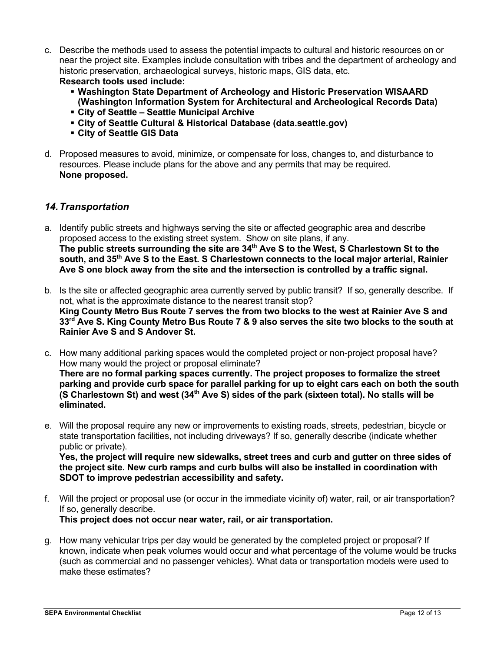- c. Describe the methods used to assess the potential impacts to cultural and historic resources on or near the project site. Examples include consultation with tribes and the department of archeology and historic preservation, archaeological surveys, historic maps, GIS data, etc. **Research tools used include:**
	- § **Washington State Department of Archeology and Historic Preservation WISAARD (Washington Information System for Architectural and Archeological Records Data)**
	- § **City of Seattle – Seattle Municipal Archive**
	- § **City of Seattle Cultural & Historical Database (data.seattle.gov)**
	- § **City of Seattle GIS Data**
- d. Proposed measures to avoid, minimize, or compensate for loss, changes to, and disturbance to resources. Please include plans for the above and any permits that may be required. **None proposed.**

### *14.Transportation*

- a. Identify public streets and highways serving the site or affected geographic area and describe proposed access to the existing street system. Show on site plans, if any. The public streets surrounding the site are 34<sup>th</sup> Ave S to the West, S Charlestown St to the **south, and 35th Ave S to the East. S Charlestown connects to the local major arterial, Rainier Ave S one block away from the site and the intersection is controlled by a traffic signal.**
- b. Is the site or affected geographic area currently served by public transit? If so, generally describe. If not, what is the approximate distance to the nearest transit stop? **King County Metro Bus Route 7 serves the from two blocks to the west at Rainier Ave S and 33rd Ave S. King County Metro Bus Route 7 & 9 also serves the site two blocks to the south at Rainier Ave S and S Andover St.**
- c. How many additional parking spaces would the completed project or non-project proposal have? How many would the project or proposal eliminate? **There are no formal parking spaces currently. The project proposes to formalize the street parking and provide curb space for parallel parking for up to eight cars each on both the south (S Charlestown St) and west (34th Ave S) sides of the park (sixteen total). No stalls will be eliminated.**
- e. Will the proposal require any new or improvements to existing roads, streets, pedestrian, bicycle or state transportation facilities, not including driveways? If so, generally describe (indicate whether public or private).

**Yes, the project will require new sidewalks, street trees and curb and gutter on three sides of the project site. New curb ramps and curb bulbs will also be installed in coordination with SDOT to improve pedestrian accessibility and safety.**

- f. Will the project or proposal use (or occur in the immediate vicinity of) water, rail, or air transportation? If so, generally describe. **This project does not occur near water, rail, or air transportation.**
- g. How many vehicular trips per day would be generated by the completed project or proposal? If known, indicate when peak volumes would occur and what percentage of the volume would be trucks (such as commercial and no passenger vehicles). What data or transportation models were used to make these estimates?